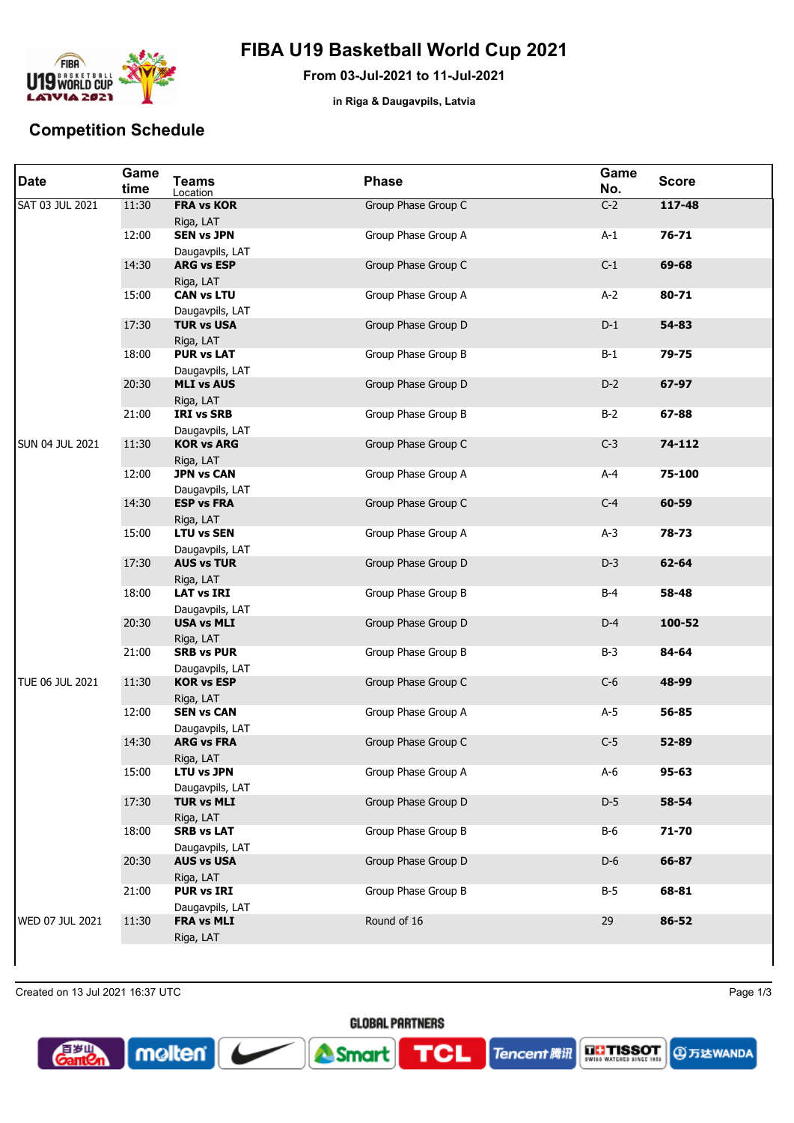

## **FIBA U19 Basketball World Cup 2021**

**From 03-Jul-2021 to 11-Jul-2021**

**in Riga & Daugavpils, Latvia**

## **Competition Schedule**

| <b>Date</b>     | Game<br>time | <b>Teams</b><br>Location             | <b>Phase</b>        | Game<br>No. | <b>Score</b> |
|-----------------|--------------|--------------------------------------|---------------------|-------------|--------------|
| SAT 03 JUL 2021 | 11:30        | <b>FRA vs KOR</b><br>Riga, LAT       | Group Phase Group C | $C-2$       | $117 - 48$   |
|                 | 12:00        | <b>SEN vs JPN</b><br>Daugavpils, LAT | Group Phase Group A | $A-1$       | $76 - 71$    |
|                 | 14:30        | <b>ARG vs ESP</b><br>Riga, LAT       | Group Phase Group C | $C-1$       | 69-68        |
|                 | 15:00        | <b>CAN vs LTU</b><br>Daugavpils, LAT | Group Phase Group A | $A-2$       | 80-71        |
|                 | 17:30        | <b>TUR vs USA</b><br>Riga, LAT       | Group Phase Group D | $D-1$       | 54-83        |
|                 | 18:00        | <b>PUR vs LAT</b><br>Daugavpils, LAT | Group Phase Group B | $B-1$       | $79 - 75$    |
|                 | 20:30        | <b>MLI vs AUS</b><br>Riga, LAT       | Group Phase Group D | $D-2$       | 67-97        |
|                 | 21:00        | <b>IRI vs SRB</b><br>Daugavpils, LAT | Group Phase Group B | $B-2$       | 67-88        |
| SUN 04 JUL 2021 | 11:30        | <b>KOR vs ARG</b><br>Riga, LAT       | Group Phase Group C | $C-3$       | 74-112       |
|                 | 12:00        | <b>JPN vs CAN</b><br>Daugavpils, LAT | Group Phase Group A | $A - 4$     | 75-100       |
|                 | 14:30        | <b>ESP vs FRA</b><br>Riga, LAT       | Group Phase Group C | $C-4$       | 60-59        |
|                 | 15:00        | <b>LTU vs SEN</b><br>Daugavpils, LAT | Group Phase Group A | $A-3$       | 78-73        |
|                 | 17:30        | <b>AUS vs TUR</b><br>Riga, LAT       | Group Phase Group D | $D-3$       | 62-64        |
|                 | 18:00        | <b>LAT vs IRI</b><br>Daugavpils, LAT | Group Phase Group B | $B-4$       | 58-48        |
|                 | 20:30        | <b>USA vs MLI</b><br>Riga, LAT       | Group Phase Group D | $D-4$       | 100-52       |
|                 | 21:00        | <b>SRB vs PUR</b><br>Daugavpils, LAT | Group Phase Group B | $B-3$       | 84-64        |
| TUE 06 JUL 2021 | 11:30        | <b>KOR vs ESP</b><br>Riga, LAT       | Group Phase Group C | $C-6$       | 48-99        |
|                 | 12:00        | <b>SEN vs CAN</b><br>Daugavpils, LAT | Group Phase Group A | $A-5$       | 56-85        |
|                 | 14:30        | <b>ARG vs FRA</b><br>Riga, LAT       | Group Phase Group C | $C-5$       | 52-89        |
|                 | 15:00        | <b>LTU vs JPN</b><br>Daugavpils, LAT | Group Phase Group A | $A-6$       | 95-63        |
|                 | 17:30        | <b>TUR vs MLI</b><br>Riga, LAT       | Group Phase Group D | $D-5$       | 58-54        |
|                 | 18:00        | <b>SRB vs LAT</b><br>Daugavpils, LAT | Group Phase Group B | B-6         | 71-70        |
|                 | 20:30        | <b>AUS vs USA</b><br>Riga, LAT       | Group Phase Group D | $D-6$       | 66-87        |
|                 | 21:00        | <b>PUR vs IRI</b><br>Daugavpils, LAT | Group Phase Group B | $B-5$       | 68-81        |
| WED 07 JUL 2021 | 11:30        | <b>FRA vs MLI</b><br>Riga, LAT       | Round of 16         | 29          | 86-52        |
|                 |              |                                      |                     |             |              |

**GLOBAL PARTNERS** 

TCL

<sup>1</sup>Smar

Created on 13 Jul 2021 16:37 UTC Page 1/3

molten

**Santo** 

**4万达WANDA** 

**EL'ISSOT**<br>SWISS WATCHES SINCE 193

**Tencent 腾讯**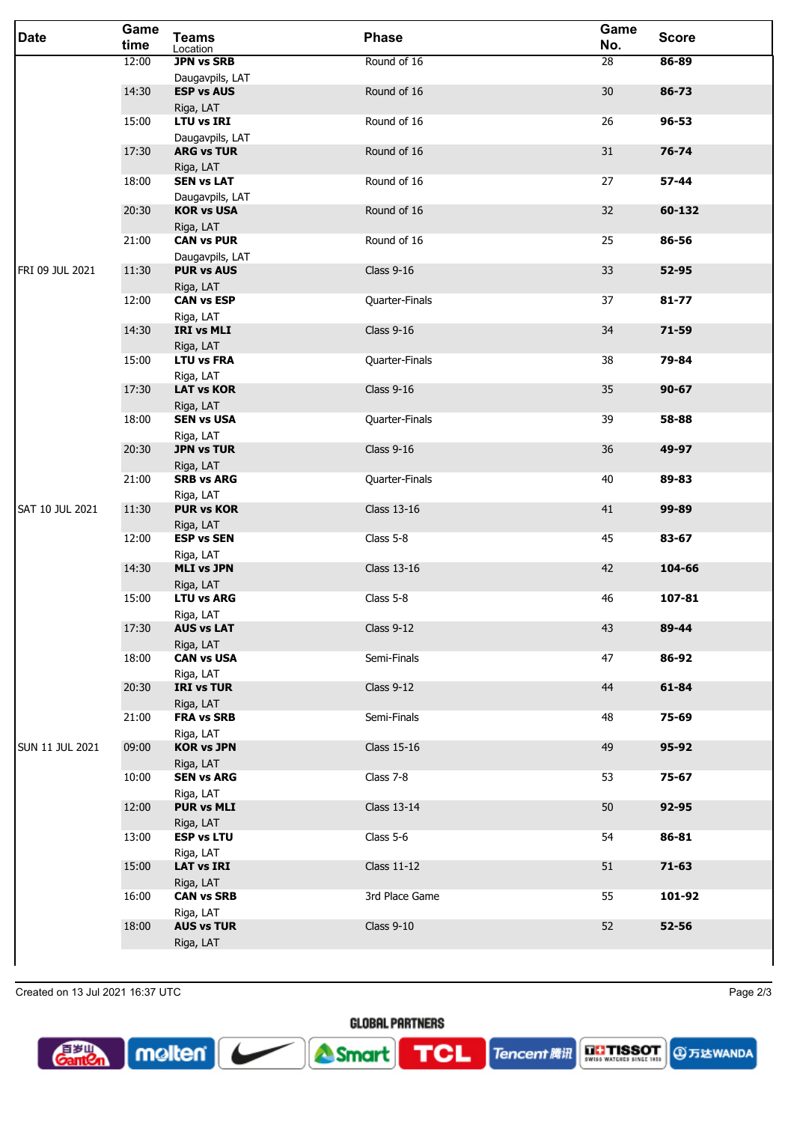| <b>Date</b>            | Game<br>time | <b>Teams</b><br>Location                    | <b>Phase</b>      | Game<br>No. | <b>Score</b> |
|------------------------|--------------|---------------------------------------------|-------------------|-------------|--------------|
|                        | 12:00        | <b>JPN vs SRB</b>                           | Round of 16       | 28          | 86-89        |
|                        | 14:30        | Daugavpils, LAT<br><b>ESP vs AUS</b>        | Round of 16       | 30          | 86-73        |
|                        | 15:00        | Riga, LAT<br><b>LTU vs IRI</b>              | Round of 16       | 26          | $96 - 53$    |
|                        | 17:30        | Daugavpils, LAT<br><b>ARG vs TUR</b>        | Round of 16       | 31          | $76 - 74$    |
|                        | 18:00        | Riga, LAT<br><b>SEN vs LAT</b>              | Round of 16       | 27          | 57-44        |
|                        | 20:30        | Daugavpils, LAT<br><b>KOR vs USA</b>        | Round of 16       | 32          | 60-132       |
|                        | 21:00        | Riga, LAT<br><b>CAN vs PUR</b>              | Round of 16       | 25          | 86-56        |
| FRI 09 JUL 2021        | 11:30        | Daugavpils, LAT<br><b>PUR vs AUS</b>        | <b>Class 9-16</b> | 33          | 52-95        |
|                        | 12:00        | Riga, LAT<br><b>CAN vs ESP</b>              | Quarter-Finals    | 37          | $81 - 77$    |
|                        | 14:30        | Riga, LAT<br>IRI vs MLI                     | <b>Class 9-16</b> | 34          | $71 - 59$    |
|                        | 15:00        | Riga, LAT<br><b>LTU vs FRA</b>              | Quarter-Finals    | 38          | 79-84        |
|                        | 17:30        | Riga, LAT<br><b>LAT vs KOR</b>              | <b>Class 9-16</b> | 35          | $90 - 67$    |
|                        | 18:00        | Riga, LAT<br><b>SEN vs USA</b>              | Quarter-Finals    | 39          | 58-88        |
|                        | 20:30        | Riga, LAT<br><b>JPN vs TUR</b>              | <b>Class 9-16</b> | 36          | 49-97        |
|                        | 21:00        | Riga, LAT<br><b>SRB vs ARG</b>              | Quarter-Finals    | 40          | 89-83        |
| <b>SAT 10 JUL 2021</b> | 11:30        | Riga, LAT<br><b>PUR vs KOR</b><br>Riga, LAT | Class 13-16       | 41          | 99-89        |
|                        | 12:00        | <b>ESP vs SEN</b><br>Riga, LAT              | Class 5-8         | 45          | 83-67        |
|                        | 14:30        | <b>MLI vs JPN</b><br>Riga, LAT              | Class 13-16       | 42          | 104-66       |
|                        | 15:00        | <b>LTU vs ARG</b>                           | Class 5-8         | 46          | 107-81       |
|                        | 17:30        | Riga, LAT<br><b>AUS vs LAT</b><br>Riga, LAT | Class $9-12$      | 43          | 89-44        |
|                        | 18:00        | <b>CAN vs USA</b><br>Riga, LAT              | Semi-Finals       | 47          | 86-92        |
|                        | 20:30        | <b>IRI vs TUR</b><br>Riga, LAT              | Class $9-12$      | 44          | 61-84        |
|                        | 21:00        | <b>FRA vs SRB</b><br>Riga, LAT              | Semi-Finals       | 48          | 75-69        |
| <b>SUN 11 JUL 2021</b> | 09:00        | <b>KOR vs JPN</b><br>Riga, LAT              | Class 15-16       | 49          | 95-92        |
|                        | 10:00        | <b>SEN vs ARG</b><br>Riga, LAT              | Class 7-8         | 53          | 75-67        |
|                        | 12:00        | <b>PUR vs MLI</b>                           | Class 13-14       | 50          | 92-95        |
|                        | 13:00        | Riga, LAT<br><b>ESP vs LTU</b><br>Riga, LAT | Class 5-6         | 54          | 86-81        |
|                        | 15:00        | <b>LAT vs IRI</b><br>Riga, LAT              | Class 11-12       | 51          | $71 - 63$    |
|                        | 16:00        | <b>CAN vs SRB</b>                           | 3rd Place Game    | 55          | 101-92       |
|                        | 18:00        | Riga, LAT<br><b>AUS vs TUR</b>              | <b>Class 9-10</b> | 52          | $52 - 56$    |
|                        |              | Riga, LAT                                   |                   |             |              |

**GLOBAL PARTNERS** 

**TCL** 

Tencent 腾讯

Smart

Created on 13 Jul 2021 16:37 UTC Page 2/3

 $\boxed{\sim}$  molten  $\boxed{\phantom{\cdot}}$ 

 $\blacktriangleright$